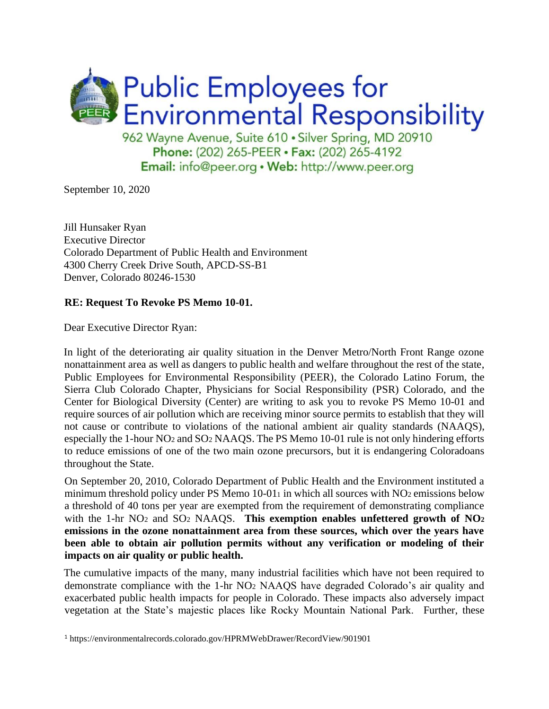

September 10, 2020

Jill Hunsaker Ryan Executive Director Colorado Department of Public Health and Environment 4300 Cherry Creek Drive South, APCD-SS-B1 Denver, Colorado 80246-1530

### **RE: Request To Revoke PS Memo 10-01.**

Dear Executive Director Ryan:

In light of the deteriorating air quality situation in the Denver Metro/North Front Range ozone nonattainment area as well as dangers to public health and welfare throughout the rest of the state, Public Employees for Environmental Responsibility (PEER), the Colorado Latino Forum, the Sierra Club Colorado Chapter, Physicians for Social Responsibility (PSR) Colorado, and the Center for Biological Diversity (Center) are writing to ask you to revoke PS Memo 10-01 and require sources of air pollution which are receiving minor source permits to establish that they will not cause or contribute to violations of the national ambient air quality standards (NAAQS), especially the 1-hour NO<sup>2</sup> and SO<sup>2</sup> NAAQS. The PS Memo 10-01 rule is not only hindering efforts to reduce emissions of one of the two main ozone precursors, but it is endangering Coloradoans throughout the State.

On September 20, 2010, Colorado Department of Public Health and the Environment instituted a minimum threshold policy under PS Memo  $10-011$  in which all sources with NO<sub>2</sub> emissions below a threshold of 40 tons per year are exempted from the requirement of demonstrating compliance with the 1-hr NO<sup>2</sup> and SO<sup>2</sup> NAAQS. **This exemption enables unfettered growth of NO<sup>2</sup> emissions in the ozone nonattainment area from these sources, which over the years have been able to obtain air pollution permits without any verification or modeling of their impacts on air quality or public health.**

The cumulative impacts of the many, many industrial facilities which have not been required to demonstrate compliance with the 1-hr NO<sup>2</sup> NAAQS have degraded Colorado's air quality and exacerbated public health impacts for people in Colorado. These impacts also adversely impact vegetation at the State's majestic places like Rocky Mountain National Park. Further, these

<sup>1</sup> https://environmentalrecords.colorado.gov/HPRMWebDrawer/RecordView/901901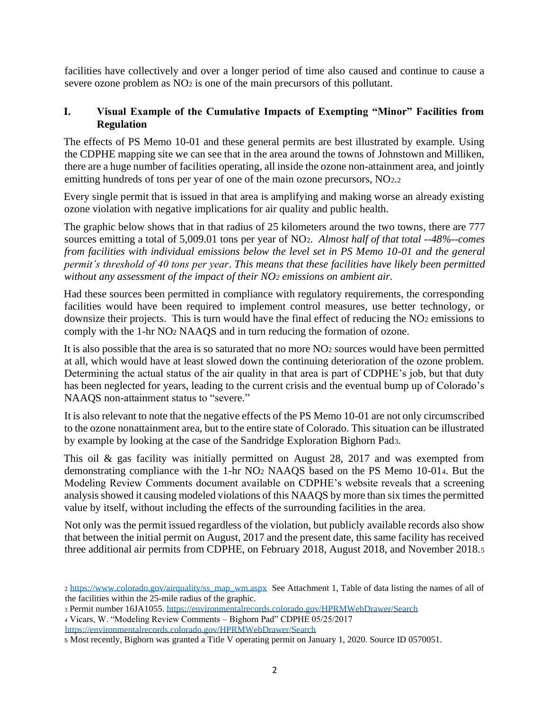facilities have collectively and over a longer period of time also caused and continue to cause a severe ozone problem as NO<sup>2</sup> is one of the main precursors of this pollutant.

## **I. Visual Example of the Cumulative Impacts of Exempting "Minor" Facilities from Regulation**

The effects of PS Memo 10-01 and these general permits are best illustrated by example. Using the CDPHE mapping site we can see that in the area around the towns of Johnstown and Milliken, there are a huge number of facilities operating, all inside the ozone non-attainment area, and jointly emitting hundreds of tons per year of one of the main ozone precursors, NO2.<sup>2</sup>

Every single permit that is issued in that area is amplifying and making worse an already existing ozone violation with negative implications for air quality and public health.

The graphic below shows that in that radius of 25 kilometers around the two towns, there are 777 sources emitting a total of 5,009.01 tons per year of NO2. *Almost half of that total --48%--comes from facilities with individual emissions below the level set in PS Memo 10-01 and the general permit's threshold of 40 tons per year*. *This means that these facilities have likely been permitted without any assessment of the impact of their NO<sup>2</sup> emissions on ambient air.*

Had these sources been permitted in compliance with regulatory requirements, the corresponding facilities would have been required to implement control measures, use better technology, or downsize their projects. This is turn would have the final effect of reducing the NO<sub>2</sub> emissions to comply with the 1-hr NO<sup>2</sup> NAAQS and in turn reducing the formation of ozone.

It is also possible that the area is so saturated that no more NO<sub>2</sub> sources would have been permitted at all, which would have at least slowed down the continuing deterioration of the ozone problem. Determining the actual status of the air quality in that area is part of CDPHE's job, but that duty has been neglected for years, leading to the current crisis and the eventual bump up of Colorado's NAAQS non-attainment status to "severe."

It is also relevant to note that the negative effects of the PS Memo 10-01 are not only circumscribed to the ozone nonattainment area, but to the entire state of Colorado. This situation can be illustrated by example by looking at the case of the Sandridge Exploration Bighorn Pad3.

This oil & gas facility was initially permitted on August 28, 2017 and was exempted from demonstrating compliance with the 1-hr NO<sup>2</sup> NAAQS based on the PS Memo 10-014. But the Modeling Review Comments document available on CDPHE's website reveals that a screening analysis showed it causing modeled violations of this NAAQS by more than six times the permitted value by itself, without including the effects of the surrounding facilities in the area.

Not only was the permit issued regardless of the violation, but publicly available records also show that between the initial permit on August, 2017 and the present date, this same facility has received three additional air permits from CDPHE, on February 2018, August 2018, and November 2018.<sup>5</sup>

<sup>2</sup> [https://www.colorado.gov/airquality/ss\\_map\\_wm.aspx](https://www.colorado.gov/airquality/ss_map_wm.aspx) See Attachment 1, Table of data listing the names of all of the facilities within the 25-mile radius of the graphic.

<sup>3</sup> Permit number 16JA1055.<https://environmentalrecords.colorado.gov/HPRMWebDrawer/Search>

<sup>4</sup> Vicars, W. "Modeling Review Comments – Bighorn Pad" CDPHE 05/25/2017

<https://environmentalrecords.colorado.gov/HPRMWebDrawer/Search>

<sup>5</sup> Most recently, Bighorn was granted a Title V operating permit on January 1, 2020. Source ID 0570051.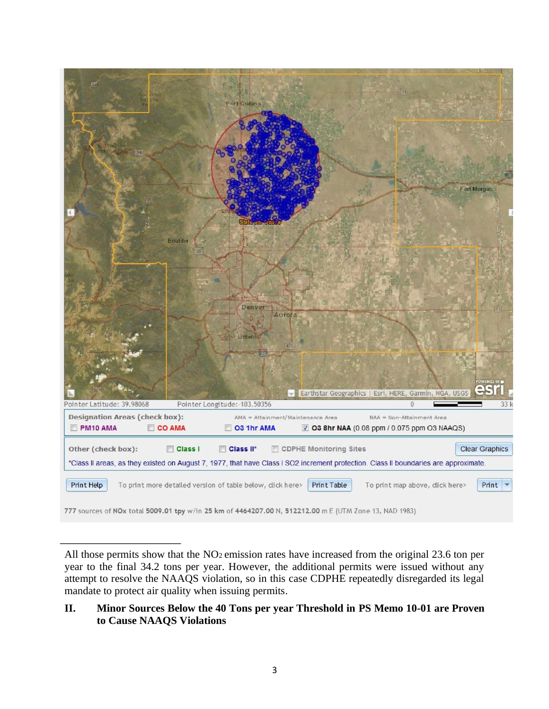

All those permits show that the NO<sub>2</sub> emission rates have increased from the original 23.6 ton per year to the final 34.2 tons per year. However, the additional permits were issued without any attempt to resolve the NAAQS violation, so in this case CDPHE repeatedly disregarded its legal mandate to protect air quality when issuing permits.

## **II. Minor Sources Below the 40 Tons per year Threshold in PS Memo 10-01 are Proven to Cause NAAQS Violations**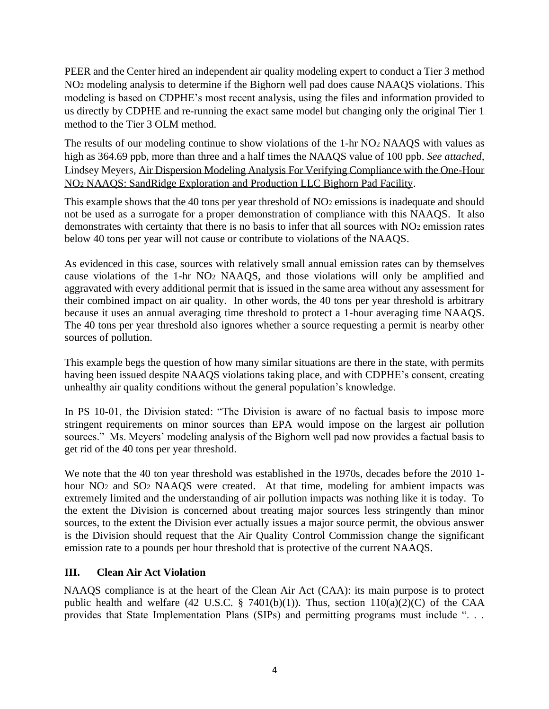PEER and the Center hired an independent air quality modeling expert to conduct a Tier 3 method NO<sup>2</sup> modeling analysis to determine if the Bighorn well pad does cause NAAQS violations. This modeling is based on CDPHE's most recent analysis, using the files and information provided to us directly by CDPHE and re-running the exact same model but changing only the original Tier 1 method to the Tier 3 OLM method.

The results of our modeling continue to show violations of the 1-hr NO<sup>2</sup> NAAQS with values as high as 364.69 ppb, more than three and a half times the NAAQS value of 100 ppb. *See attached,*  Lindsey Meyers, Air Dispersion Modeling Analysis For Verifying Compliance with the One-Hour NO<sup>2</sup> NAAQS: SandRidge Exploration and Production LLC Bighorn Pad Facility.

This example shows that the 40 tons per year threshold of NO<sub>2</sub> emissions is inadequate and should not be used as a surrogate for a proper demonstration of compliance with this NAAQS. It also demonstrates with certainty that there is no basis to infer that all sources with NO2 emission rates below 40 tons per year will not cause or contribute to violations of the NAAQS.

As evidenced in this case, sources with relatively small annual emission rates can by themselves cause violations of the 1-hr NO<sup>2</sup> NAAQS, and those violations will only be amplified and aggravated with every additional permit that is issued in the same area without any assessment for their combined impact on air quality. In other words, the 40 tons per year threshold is arbitrary because it uses an annual averaging time threshold to protect a 1-hour averaging time NAAQS. The 40 tons per year threshold also ignores whether a source requesting a permit is nearby other sources of pollution.

This example begs the question of how many similar situations are there in the state, with permits having been issued despite NAAQS violations taking place, and with CDPHE's consent, creating unhealthy air quality conditions without the general population's knowledge.

In PS 10-01, the Division stated: "The Division is aware of no factual basis to impose more stringent requirements on minor sources than EPA would impose on the largest air pollution sources." Ms. Meyers' modeling analysis of the Bighorn well pad now provides a factual basis to get rid of the 40 tons per year threshold.

We note that the 40 ton year threshold was established in the 1970s, decades before the 2010 1 hour NO<sub>2</sub> and SO<sub>2</sub> NAAQS were created. At that time, modeling for ambient impacts was extremely limited and the understanding of air pollution impacts was nothing like it is today. To the extent the Division is concerned about treating major sources less stringently than minor sources, to the extent the Division ever actually issues a major source permit, the obvious answer is the Division should request that the Air Quality Control Commission change the significant emission rate to a pounds per hour threshold that is protective of the current NAAQS.

# **III. Clean Air Act Violation**

NAAQS compliance is at the heart of the Clean Air Act (CAA): its main purpose is to protect public health and welfare (42 U.S.C. § 7401(b)(1)). Thus, section  $110(a)(2)(C)$  of the CAA provides that State Implementation Plans (SIPs) and permitting programs must include ". . .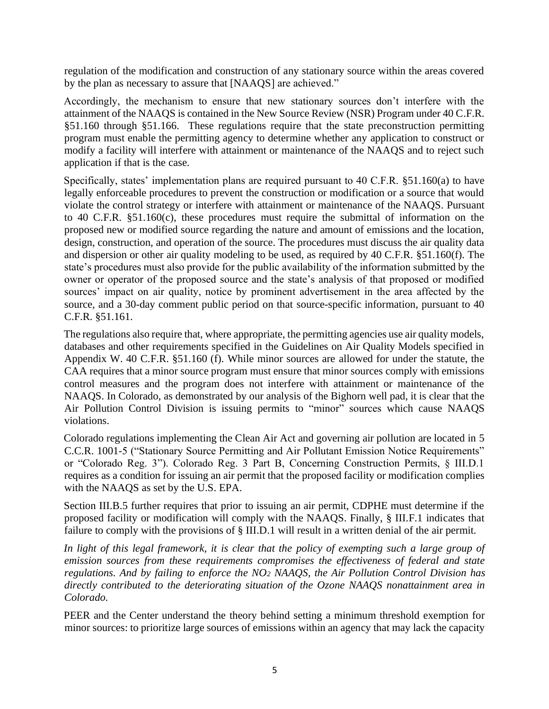regulation of the modification and construction of any stationary source within the areas covered by the plan as necessary to assure that [NAAQS] are achieved."

Accordingly, the mechanism to ensure that new stationary sources don't interfere with the attainment of the NAAQS is contained in the New Source Review (NSR) Program under 40 C.F.R. §51.160 through §51.166. These regulations require that the state preconstruction permitting program must enable the permitting agency to determine whether any application to construct or modify a facility will interfere with attainment or maintenance of the NAAQS and to reject such application if that is the case.

Specifically, states' implementation plans are required pursuant to 40 C.F.R. §51.160(a) to have legally enforceable procedures to prevent the construction or modification or a source that would violate the control strategy or interfere with attainment or maintenance of the NAAQS. Pursuant to 40 C.F.R. §51.160(c), these procedures must require the submittal of information on the proposed new or modified source regarding the nature and amount of emissions and the location, design, construction, and operation of the source. The procedures must discuss the air quality data and dispersion or other air quality modeling to be used, as required by 40 C.F.R. §51.160(f). The state's procedures must also provide for the public availability of the information submitted by the owner or operator of the proposed source and the state's analysis of that proposed or modified sources' impact on air quality, notice by prominent advertisement in the area affected by the source, and a 30-day comment public period on that source-specific information, pursuant to 40 C.F.R. §51.161.

The regulations also require that, where appropriate, the permitting agencies use air quality models, databases and other requirements specified in the Guidelines on Air Quality Models specified in Appendix W. 40 C.F.R. §51.160 (f). While minor sources are allowed for under the statute, the CAA requires that a minor source program must ensure that minor sources comply with emissions control measures and the program does not interfere with attainment or maintenance of the NAAQS. In Colorado, as demonstrated by our analysis of the Bighorn well pad, it is clear that the Air Pollution Control Division is issuing permits to "minor" sources which cause NAAQS violations.

Colorado regulations implementing the Clean Air Act and governing air pollution are located in 5 C.C.R. 1001-5 ("Stationary Source Permitting and Air Pollutant Emission Notice Requirements" or "Colorado Reg. 3"). Colorado Reg. 3 Part B, Concerning Construction Permits, § III.D.1 requires as a condition for issuing an air permit that the proposed facility or modification complies with the NAAQS as set by the U.S. EPA.

Section III.B.5 further requires that prior to issuing an air permit, CDPHE must determine if the proposed facility or modification will comply with the NAAQS. Finally, § III.F.1 indicates that failure to comply with the provisions of § III.D.1 will result in a written denial of the air permit.

In light of this legal framework, it is clear that the policy of exempting such a large group of *emission sources from these requirements compromises the effectiveness of federal and state regulations. And by failing to enforce the NO<sup>2</sup> NAAQS, the Air Pollution Control Division has directly contributed to the deteriorating situation of the Ozone NAAQS nonattainment area in Colorado.* 

PEER and the Center understand the theory behind setting a minimum threshold exemption for minor sources: to prioritize large sources of emissions within an agency that may lack the capacity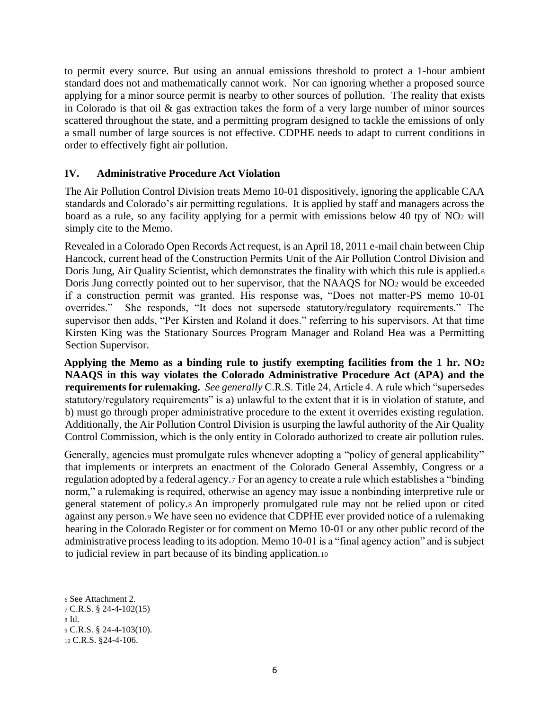to permit every source. But using an annual emissions threshold to protect a 1-hour ambient standard does not and mathematically cannot work. Nor can ignoring whether a proposed source applying for a minor source permit is nearby to other sources of pollution. The reality that exists in Colorado is that oil & gas extraction takes the form of a very large number of minor sources scattered throughout the state, and a permitting program designed to tackle the emissions of only a small number of large sources is not effective. CDPHE needs to adapt to current conditions in order to effectively fight air pollution.

### **IV. Administrative Procedure Act Violation**

The Air Pollution Control Division treats Memo 10-01 dispositively, ignoring the applicable CAA standards and Colorado's air permitting regulations. It is applied by staff and managers across the board as a rule, so any facility applying for a permit with emissions below 40 tpy of NO<sup>2</sup> will simply cite to the Memo.

Revealed in a Colorado Open Records Act request, is an April 18, 2011 e-mail chain between Chip Hancock, current head of the Construction Permits Unit of the Air Pollution Control Division and Doris Jung, Air Quality Scientist, which demonstrates the finality with which this rule is applied.<sup>6</sup> Doris Jung correctly pointed out to her supervisor, that the NAAQS for NO<sup>2</sup> would be exceeded if a construction permit was granted. His response was, "Does not matter-PS memo 10-01 overrides." She responds, "It does not supersede statutory/regulatory requirements." The supervisor then adds, "Per Kirsten and Roland it does." referring to his supervisors. At that time Kirsten King was the Stationary Sources Program Manager and Roland Hea was a Permitting Section Supervisor.

**Applying the Memo as a binding rule to justify exempting facilities from the 1 hr. NO<sup>2</sup> NAAQS in this way violates the Colorado Administrative Procedure Act (APA) and the requirements for rulemaking.** *See generally* C.R.S. Title 24, Article 4. A rule which "supersedes statutory/regulatory requirements" is a) unlawful to the extent that it is in violation of statute, and b) must go through proper administrative procedure to the extent it overrides existing regulation. Additionally, the Air Pollution Control Division is usurping the lawful authority of the Air Quality Control Commission, which is the only entity in Colorado authorized to create air pollution rules.

Generally, agencies must promulgate rules whenever adopting a "policy of general applicability" that implements or interprets an enactment of the Colorado General Assembly, Congress or a regulation adopted by a federal agency.<sup>7</sup> For an agency to create a rule which establishes a "binding norm," a rulemaking is required, otherwise an agency may issue a nonbinding interpretive rule or general statement of policy.<sup>8</sup> An improperly promulgated rule may not be relied upon or cited against any person.<sup>9</sup> We have seen no evidence that CDPHE ever provided notice of a rulemaking hearing in the Colorado Register or for comment on Memo 10-01 or any other public record of the administrative process leading to its adoption. Memo 10-01 is a "final agency action" and is subject to judicial review in part because of its binding application.<sup>10</sup>

<sup>6</sup> See Attachment 2. <sup>7</sup> C.R.S. § 24-4-102(15) <sup>8</sup> Id. <sup>9</sup> C.R.S. § 24-4-103(10). <sup>10</sup> C.R.S. §24-4-106.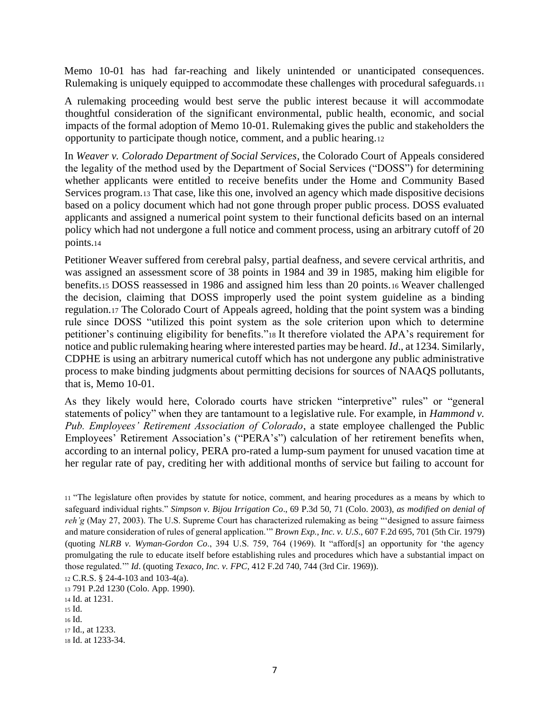Memo 10-01 has had far-reaching and likely unintended or unanticipated consequences. Rulemaking is uniquely equipped to accommodate these challenges with procedural safeguards.<sup>11</sup>

A rulemaking proceeding would best serve the public interest because it will accommodate thoughtful consideration of the significant environmental, public health, economic, and social impacts of the formal adoption of Memo 10-01. Rulemaking gives the public and stakeholders the opportunity to participate though notice, comment, and a public hearing.<sup>12</sup>

In *Weaver v. Colorado Department of Social Services*, the Colorado Court of Appeals considered the legality of the method used by the Department of Social Services ("DOSS") for determining whether applicants were entitled to receive benefits under the Home and Community Based Services program.<sup>13</sup> That case, like this one, involved an agency which made dispositive decisions based on a policy document which had not gone through proper public process. DOSS evaluated applicants and assigned a numerical point system to their functional deficits based on an internal policy which had not undergone a full notice and comment process, using an arbitrary cutoff of 20 points.<sup>14</sup>

Petitioner Weaver suffered from cerebral palsy, partial deafness, and severe cervical arthritis, and was assigned an assessment score of 38 points in 1984 and 39 in 1985, making him eligible for benefits.<sup>15</sup> DOSS reassessed in 1986 and assigned him less than 20 points.<sup>16</sup> Weaver challenged the decision, claiming that DOSS improperly used the point system guideline as a binding regulation.<sup>17</sup> The Colorado Court of Appeals agreed, holding that the point system was a binding rule since DOSS "utilized this point system as the sole criterion upon which to determine petitioner's continuing eligibility for benefits."<sup>18</sup> It therefore violated the APA's requirement for notice and public rulemaking hearing where interested parties may be heard. *Id*., at 1234. Similarly, CDPHE is using an arbitrary numerical cutoff which has not undergone any public administrative process to make binding judgments about permitting decisions for sources of NAAQS pollutants, that is, Memo 10-01.

As they likely would here, Colorado courts have stricken "interpretive" rules" or "general statements of policy" when they are tantamount to a legislative rule. For example, in *Hammond v. Pub. Employees' Retirement Association of Colorado*, a state employee challenged the Public Employees' Retirement Association's ("PERA's") calculation of her retirement benefits when, according to an internal policy, PERA pro-rated a lump-sum payment for unused vacation time at her regular rate of pay, crediting her with additional months of service but failing to account for

- <sup>16</sup> Id.
- <sup>17</sup> Id., at 1233.

<sup>11</sup> "The legislature often provides by statute for notice, comment, and hearing procedures as a means by which to safeguard individual rights." *Simpson v. Bijou Irrigation Co*., 69 P.3d 50, 71 (Colo. 2003), *as modified on denial of reh'g* (May 27, 2003). The U.S. Supreme Court has characterized rulemaking as being "'designed to assure fairness and mature consideration of rules of general application.'" *Brown Exp., Inc. v. U.S*., 607 F.2d 695, 701 (5th Cir. 1979) (quoting *NLRB v. Wyman-Gordon Co*., 394 U.S. 759, 764 (1969). It "afford[s] an opportunity for 'the agency promulgating the rule to educate itself before establishing rules and procedures which have a substantial impact on those regulated.'" *Id*. (quoting *Texaco, Inc. v. FPC*, 412 F.2d 740, 744 (3rd Cir. 1969)).

<sup>12</sup> C.R.S. § 24-4-103 and 103-4(a).

<sup>13</sup> 791 P.2d 1230 (Colo. App. 1990).

<sup>14</sup> Id. at 1231.

<sup>15</sup> Id.

<sup>18</sup> Id. at 1233-34.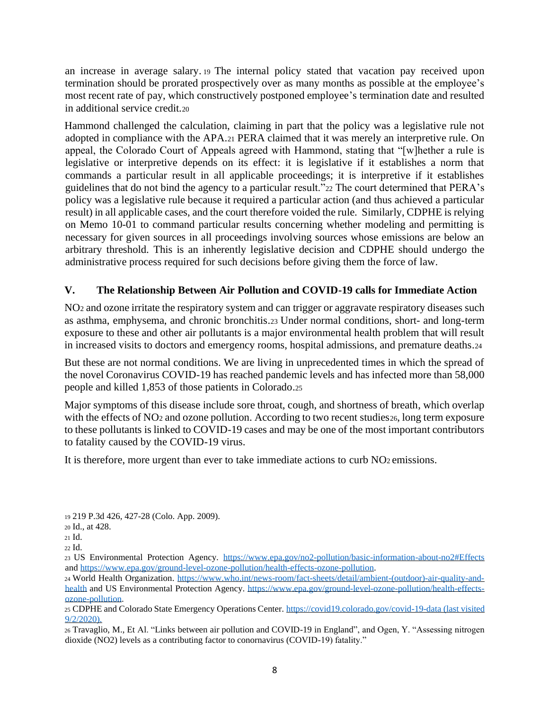an increase in average salary. <sup>19</sup> The internal policy stated that vacation pay received upon termination should be prorated prospectively over as many months as possible at the employee's most recent rate of pay, which constructively postponed employee's termination date and resulted in additional service credit.<sup>20</sup>

Hammond challenged the calculation, claiming in part that the policy was a legislative rule not adopted in compliance with the APA.<sup>21</sup> PERA claimed that it was merely an interpretive rule. On appeal, the Colorado Court of Appeals agreed with Hammond, stating that "[w]hether a rule is legislative or interpretive depends on its effect: it is legislative if it establishes a norm that commands a particular result in all applicable proceedings; it is interpretive if it establishes guidelines that do not bind the agency to a particular result."<sup>22</sup> The court determined that PERA's policy was a legislative rule because it required a particular action (and thus achieved a particular result) in all applicable cases, and the court therefore voided the rule. Similarly, CDPHE is relying on Memo 10-01 to command particular results concerning whether modeling and permitting is necessary for given sources in all proceedings involving sources whose emissions are below an arbitrary threshold. This is an inherently legislative decision and CDPHE should undergo the administrative process required for such decisions before giving them the force of law.

## **V. The Relationship Between Air Pollution and COVID-19 calls for Immediate Action**

NO<sup>2</sup> and ozone irritate the respiratory system and can trigger or aggravate respiratory diseases such as asthma, emphysema, and chronic bronchitis.<sup>23</sup> Under normal conditions, short- and long-term exposure to these and other air pollutants is a major environmental health problem that will result in increased visits to doctors and emergency rooms, hospital admissions, and premature deaths.<sup>24</sup>

But these are not normal conditions. We are living in unprecedented times in which the spread of the novel Coronavirus COVID-19 has reached pandemic levels and has infected more than 58,000 people and killed 1,853 of those patients in Colorado.<sup>25</sup>

Major symptoms of this disease include sore throat, cough, and shortness of breath, which overlap with the effects of NO<sub>2</sub> and ozone pollution. According to two recent studies<sub>26</sub>, long term exposure to these pollutants is linked to COVID-19 cases and may be one of the most important contributors to fatality caused by the COVID-19 virus.

It is therefore, more urgent than ever to take immediate actions to curb NO<sup>2</sup> emissions.

<sup>19</sup> 219 P.3d 426, 427-28 (Colo. App. 2009).

<sup>20</sup> Id., at 428.

<sup>21</sup> Id.

<sup>22</sup> Id.

<sup>23</sup> US Environmental Protection Agency. <https://www.epa.gov/no2-pollution/basic-information-about-no2#Effects> an[d https://www.epa.gov/ground-level-ozone-pollution/health-effects-ozone-pollution.](https://www.epa.gov/ground-level-ozone-pollution/health-effects-ozone-pollution)

<sup>24</sup> World Health Organization. [https://www.who.int/news-room/fact-sheets/detail/ambient-\(outdoor\)-air-quality-and](https://www.who.int/news-room/fact-sheets/detail/ambient-(outdoor)-air-quality-and-health)[health](https://www.who.int/news-room/fact-sheets/detail/ambient-(outdoor)-air-quality-and-health) and US Environmental Protection Agency. [https://www.epa.gov/ground-level-ozone-pollution/health-effects](https://www.epa.gov/ground-level-ozone-pollution/health-effects-ozone-pollution)[ozone-pollution.](https://www.epa.gov/ground-level-ozone-pollution/health-effects-ozone-pollution)

<sup>25</sup> CDPHE and Colorado State Emergency Operations Center.<https://covid19.colorado.gov/covid-19-data> (last visited 9/2/2020).

<sup>26</sup> Travaglio, M., Et Al. "Links between air pollution and COVID-19 in England", and Ogen, Y. "Assessing nitrogen dioxide (NO2) levels as a contributing factor to conornavirus (COVID-19) fatality."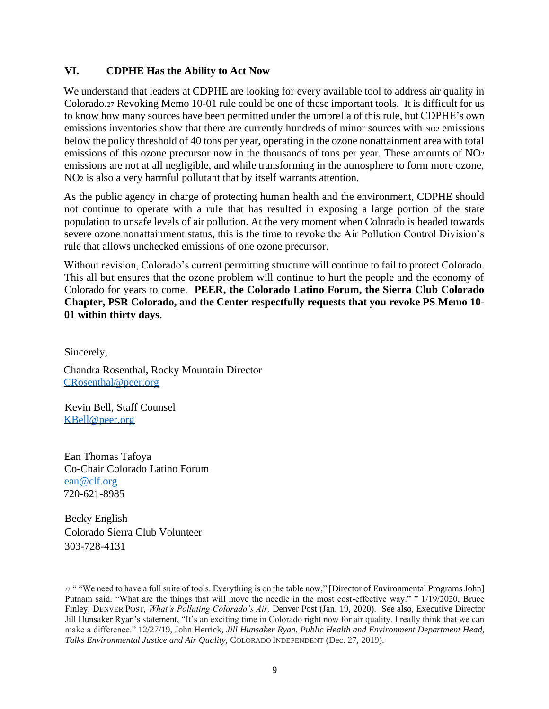## **VI. CDPHE Has the Ability to Act Now**

We understand that leaders at CDPHE are looking for every available tool to address air quality in Colorado.<sup>27</sup> Revoking Memo 10-01 rule could be one of these important tools. It is difficult for us to know how many sources have been permitted under the umbrella of this rule, but CDPHE's own emissions inventories show that there are currently hundreds of minor sources with NO2 emissions below the policy threshold of 40 tons per year, operating in the ozone nonattainment area with total emissions of this ozone precursor now in the thousands of tons per year. These amounts of NO<sub>2</sub> emissions are not at all negligible, and while transforming in the atmosphere to form more ozone, NO<sup>2</sup> is also a very harmful pollutant that by itself warrants attention.

As the public agency in charge of protecting human health and the environment, CDPHE should not continue to operate with a rule that has resulted in exposing a large portion of the state population to unsafe levels of air pollution. At the very moment when Colorado is headed towards severe ozone nonattainment status, this is the time to revoke the Air Pollution Control Division's rule that allows unchecked emissions of one ozone precursor.

Without revision, Colorado's current permitting structure will continue to fail to protect Colorado. This all but ensures that the ozone problem will continue to hurt the people and the economy of Colorado for years to come. **PEER, the Colorado Latino Forum, the Sierra Club Colorado Chapter, PSR Colorado, and the Center respectfully requests that you revoke PS Memo 10- 01 within thirty days**.

Sincerely,

Chandra Rosenthal, Rocky Mountain Director [CRosenthal@peer.org](mailto:CRosenthal@peer.org)

Kevin Bell, Staff Counsel [KBell@peer.org](mailto:KBell@peer.org)

Ean Thomas Tafoya Co-Chair Colorado Latino Forum [ean@clf.org](mailto:ean@clf.org) 720-621-8985

Becky English Colorado Sierra Club Volunteer 303-728-4131

<sup>27</sup> " "We need to have a full suite of tools. Everything is on the table now," [Director of Environmental Programs John] Putnam said. "What are the things that will move the needle in the most cost-effective way." " 1/19/2020, Bruce Finley, DENVER POST*, What's Polluting Colorado's Air,* Denver Post (Jan. 19, 2020). See also, Executive Director Jill Hunsaker Ryan's statement, "It's an exciting time in Colorado right now for air quality. I really think that we can make a difference." 12/27/19, John Herrick, *Jill Hunsaker Ryan, Public Health and Environment Department Head, Talks Environmental Justice and Air Quality,* COLORADO INDEPENDENT (Dec. 27, 2019).